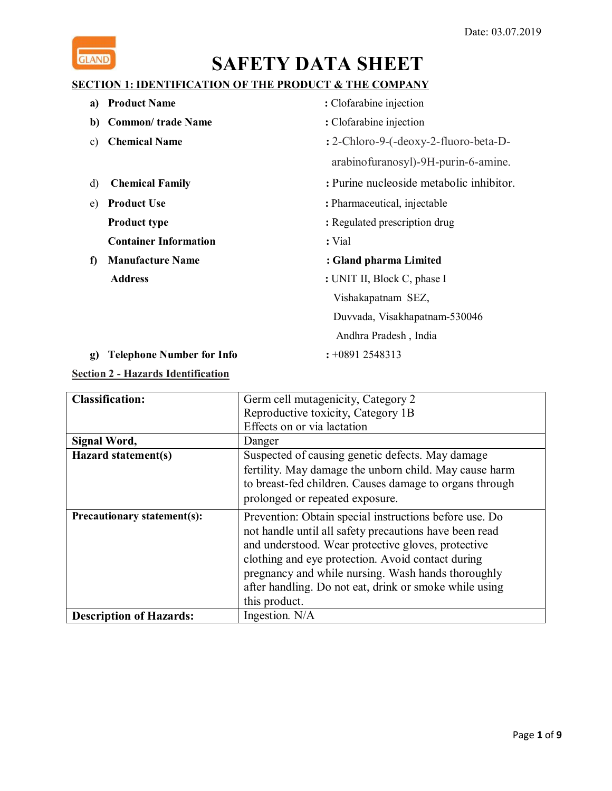

### **SECTION 1: IDENTIFICATION OF THE PRODUCT & THE COMPANY**

| a)          | <b>Product Name</b>          | : Clofarabine injection                  |
|-------------|------------------------------|------------------------------------------|
| b)          | <b>Common/ trade Name</b>    | : Clofarabine injection                  |
| C)          | <b>Chemical Name</b>         | : 2-Chloro-9-(-deoxy-2-fluoro-beta-D-    |
|             |                              | arabinofuranosyl)-9H-purin-6-amine.      |
| d)          | <b>Chemical Family</b>       | : Purine nucleoside metabolic inhibitor. |
| e)          | <b>Product Use</b>           | : Pharmaceutical, injectable             |
|             | <b>Product type</b>          | : Regulated prescription drug            |
|             | <b>Container Information</b> | : Vial                                   |
| $\mathbf f$ | <b>Manufacture Name</b>      | : Gland pharma Limited                   |
|             | <b>Address</b>               | : UNIT II, Block C, phase I              |
|             |                              | Vishakapatnam SEZ,                       |
|             |                              | Duvvada, Visakhapatnam-530046            |
|             |                              | Andhra Pradesh, India                    |

**g) Telephone Number for Info :** +0891 2548313

### **Section 2 - Hazards Identification**

| <b>Classification:</b>             | Germ cell mutagenicity, Category 2                      |
|------------------------------------|---------------------------------------------------------|
|                                    | Reproductive toxicity, Category 1B                      |
|                                    | Effects on or via lactation                             |
| Signal Word,                       | Danger                                                  |
| Hazard statement(s)                | Suspected of causing genetic defects. May damage        |
|                                    | fertility. May damage the unborn child. May cause harm  |
|                                    | to breast-fed children. Causes damage to organs through |
|                                    | prolonged or repeated exposure.                         |
| <b>Precautionary statement(s):</b> | Prevention: Obtain special instructions before use. Do  |
|                                    | not handle until all safety precautions have been read  |
|                                    | and understood. Wear protective gloves, protective      |
|                                    | clothing and eye protection. Avoid contact during       |
|                                    | pregnancy and while nursing. Wash hands thoroughly      |
|                                    | after handling. Do not eat, drink or smoke while using  |
|                                    | this product.                                           |
| <b>Description of Hazards:</b>     | Ingestion. N/A                                          |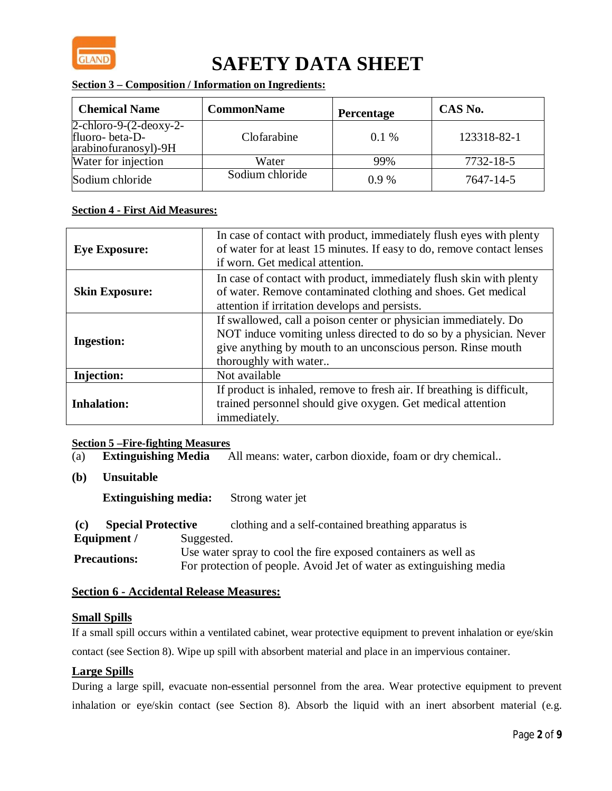

### **Section 3 – Composition / Information on Ingredients:**

| <b>Chemical Name</b>                                                    | <b>CommonName</b> | <b>Percentage</b> | CAS No.     |
|-------------------------------------------------------------------------|-------------------|-------------------|-------------|
| $2$ -chloro-9- $(2$ -deoxy-2-<br>fluoro-beta-D-<br>arabinofuranosyl)-9H | Clofarabine       | $0.1\%$           | 123318-82-1 |
| Water for injection                                                     | Water             | 99%               | 7732-18-5   |
| Sodium chloride                                                         | Sodium chloride   | $0.9\%$           | 7647-14-5   |

#### **Section 4 - First Aid Measures:**

| <b>Eye Exposure:</b>  | In case of contact with product, immediately flush eyes with plenty<br>of water for at least 15 minutes. If easy to do, remove contact lenses<br>if worn. Get medical attention.                                               |
|-----------------------|--------------------------------------------------------------------------------------------------------------------------------------------------------------------------------------------------------------------------------|
| <b>Skin Exposure:</b> | In case of contact with product, immediately flush skin with plenty<br>of water. Remove contaminated clothing and shoes. Get medical<br>attention if irritation develops and persists.                                         |
| <b>Ingestion:</b>     | If swallowed, call a poison center or physician immediately. Do<br>NOT induce vomiting unless directed to do so by a physician. Never<br>give anything by mouth to an unconscious person. Rinse mouth<br>thoroughly with water |
| <b>Injection:</b>     | Not available                                                                                                                                                                                                                  |
| <b>Inhalation:</b>    | If product is inhaled, remove to fresh air. If breathing is difficult,<br>trained personnel should give oxygen. Get medical attention<br>immediately.                                                                          |

# **Section 5 – Fire-fighting Measures**<br>(a) **Extinguishing Media**

(a) **Extinguishing Media** All means: water, carbon dioxide, foam or dry chemical.*.*

**(b) Unsuitable** 

**Extinguishing media:** Strong water jet

| (c) | <b>Special Protective</b> |            | clothing and a self-contained breathing apparatus is                |
|-----|---------------------------|------------|---------------------------------------------------------------------|
|     | Equipment /               | Suggested. |                                                                     |
|     |                           |            | Use water spray to cool the fire exposed containers as well as      |
|     | <b>Precautions:</b>       |            | For protection of people. Avoid Jet of water as extinguishing media |

### **Section 6 - Accidental Release Measures:**

#### **Small Spills**

If a small spill occurs within a ventilated cabinet, wear protective equipment to prevent inhalation or eye/skin contact (see Section 8). Wipe up spill with absorbent material and place in an impervious container.

### **Large Spills**

During a large spill, evacuate non-essential personnel from the area. Wear protective equipment to prevent inhalation or eye/skin contact (see Section 8). Absorb the liquid with an inert absorbent material (e.g.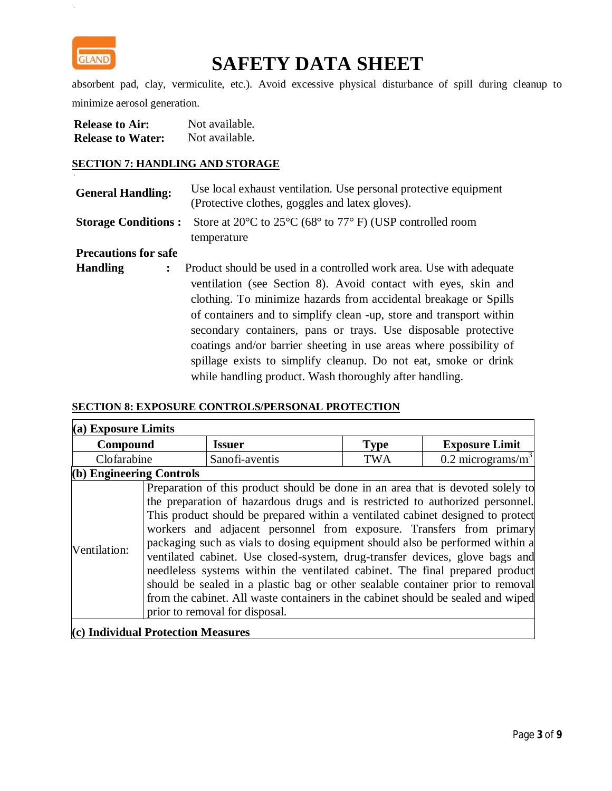

absorbent pad, clay, vermiculite, etc.). Avoid excessive physical disturbance of spill during cleanup to minimize aerosol generation.

| <b>Release to Air:</b>   | Not available. |
|--------------------------|----------------|
| <b>Release to Water:</b> | Not available. |

#### **SECTION 7: HANDLING AND STORAGE**

| <b>General Handling:</b> | Use local exhaust ventilation. Use personal protective equipment<br>(Protective clothes, goggles and latex gloves).             |
|--------------------------|---------------------------------------------------------------------------------------------------------------------------------|
|                          | <b>Storage Conditions :</b> Store at 20 $^{\circ}$ C to 25 $^{\circ}$ C (68 $^{\circ}$ to 77 $^{\circ}$ F) (USP controlled room |
|                          | temperature                                                                                                                     |

**Precautions for safe** 

**Handling :** Product should be used in a controlled work area. Use with adequate ventilation (see Section 8). Avoid contact with eyes, skin and clothing. To minimize hazards from accidental breakage or Spills of containers and to simplify clean -up, store and transport within secondary containers, pans or trays. Use disposable protective coatings and/or barrier sheeting in use areas where possibility of spillage exists to simplify cleanup. Do not eat, smoke or drink while handling product. Wash thoroughly after handling.

#### **SECTION 8: EXPOSURE CONTROLS/PERSONAL PROTECTION**

| $(a)$ Exposure Limits      |  |                                                                                                                                                                                                                                                                                                                                                                                                                                                                                                                                                                                                                                                                                                                                                                                      |             |                                 |
|----------------------------|--|--------------------------------------------------------------------------------------------------------------------------------------------------------------------------------------------------------------------------------------------------------------------------------------------------------------------------------------------------------------------------------------------------------------------------------------------------------------------------------------------------------------------------------------------------------------------------------------------------------------------------------------------------------------------------------------------------------------------------------------------------------------------------------------|-------------|---------------------------------|
| Compound                   |  | <b>Issuer</b>                                                                                                                                                                                                                                                                                                                                                                                                                                                                                                                                                                                                                                                                                                                                                                        | <b>Type</b> | <b>Exposure Limit</b>           |
| Clofarabine                |  | Sanofi-aventis                                                                                                                                                                                                                                                                                                                                                                                                                                                                                                                                                                                                                                                                                                                                                                       | <b>TWA</b>  | $0.2$ micrograms/m <sup>3</sup> |
| $(b)$ Engineering Controls |  |                                                                                                                                                                                                                                                                                                                                                                                                                                                                                                                                                                                                                                                                                                                                                                                      |             |                                 |
| Ventilation:               |  | Preparation of this product should be done in an area that is devoted solely to<br>the preparation of hazardous drugs and is restricted to authorized personnel.<br>This product should be prepared within a ventilated cabinet designed to protect<br>workers and adjacent personnel from exposure. Transfers from primary<br>packaging such as vials to dosing equipment should also be performed within a<br>ventilated cabinet. Use closed-system, drug-transfer devices, glove bags and<br>needleless systems within the ventilated cabinet. The final prepared product<br>should be sealed in a plastic bag or other sealable container prior to removal<br>from the cabinet. All waste containers in the cabinet should be sealed and wiped<br>prior to removal for disposal. |             |                                 |

**(c) Individual Protection Measures**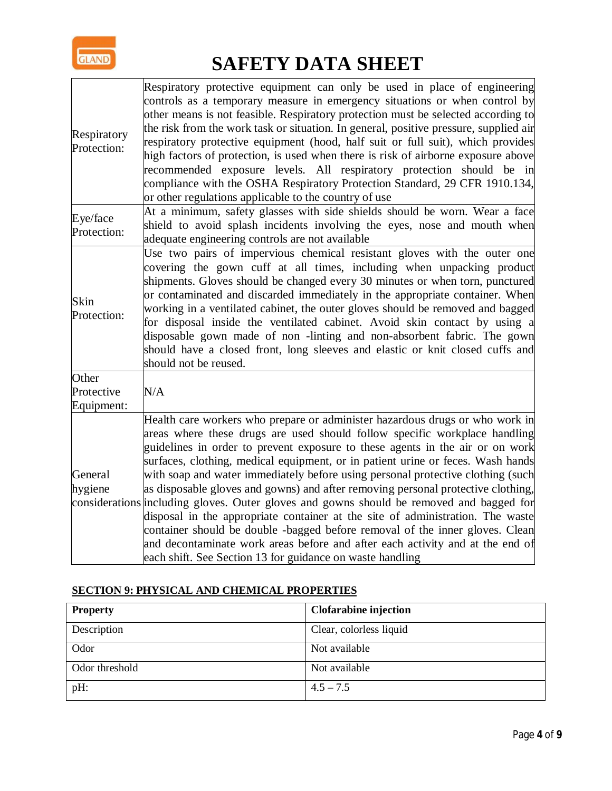

| Respiratory<br>Protection:        | Respiratory protective equipment can only be used in place of engineering<br>controls as a temporary measure in emergency situations or when control by<br>other means is not feasible. Respiratory protection must be selected according to<br>the risk from the work task or situation. In general, positive pressure, supplied air<br>respiratory protective equipment (hood, half suit or full suit), which provides<br>high factors of protection, is used when there is risk of airborne exposure above<br>recommended exposure levels. All respiratory protection should be in<br>compliance with the OSHA Respiratory Protection Standard, 29 CFR 1910.134,<br>or other regulations applicable to the country of use                                                                                                                                                                                      |
|-----------------------------------|-------------------------------------------------------------------------------------------------------------------------------------------------------------------------------------------------------------------------------------------------------------------------------------------------------------------------------------------------------------------------------------------------------------------------------------------------------------------------------------------------------------------------------------------------------------------------------------------------------------------------------------------------------------------------------------------------------------------------------------------------------------------------------------------------------------------------------------------------------------------------------------------------------------------|
| Eye/face<br>Protection:           | At a minimum, safety glasses with side shields should be worn. Wear a face<br>shield to avoid splash incidents involving the eyes, nose and mouth when<br>adequate engineering controls are not available                                                                                                                                                                                                                                                                                                                                                                                                                                                                                                                                                                                                                                                                                                         |
| Skin<br>Protection:               | Use two pairs of impervious chemical resistant gloves with the outer one<br>covering the gown cuff at all times, including when unpacking product<br>shipments. Gloves should be changed every 30 minutes or when torn, punctured<br>or contaminated and discarded immediately in the appropriate container. When<br>working in a ventilated cabinet, the outer gloves should be removed and bagged<br>for disposal inside the ventilated cabinet. Avoid skin contact by using a<br>disposable gown made of non-linting and non-absorbent fabric. The gown<br>should have a closed front, long sleeves and elastic or knit closed cuffs and<br>should not be reused.                                                                                                                                                                                                                                              |
| Other<br>Protective<br>Equipment: | N/A                                                                                                                                                                                                                                                                                                                                                                                                                                                                                                                                                                                                                                                                                                                                                                                                                                                                                                               |
| General<br>hygiene                | Health care workers who prepare or administer hazardous drugs or who work in<br>areas where these drugs are used should follow specific workplace handling<br>guidelines in order to prevent exposure to these agents in the air or on work<br>surfaces, clothing, medical equipment, or in patient urine or feces. Wash hands<br>with soap and water immediately before using personal protective clothing (such<br>as disposable gloves and gowns) and after removing personal protective clothing,<br>considerations including gloves. Outer gloves and gowns should be removed and bagged for<br>disposal in the appropriate container at the site of administration. The waste<br>container should be double -bagged before removal of the inner gloves. Clean<br>and decontaminate work areas before and after each activity and at the end of<br>each shift. See Section 13 for guidance on waste handling |

### **SECTION 9: PHYSICAL AND CHEMICAL PROPERTIES**

| <b>Property</b> | <b>Clofarabine injection</b> |
|-----------------|------------------------------|
| Description     | Clear, colorless liquid      |
| Odor            | Not available                |
| Odor threshold  | Not available                |
| pH:             | $4.5 - 7.5$                  |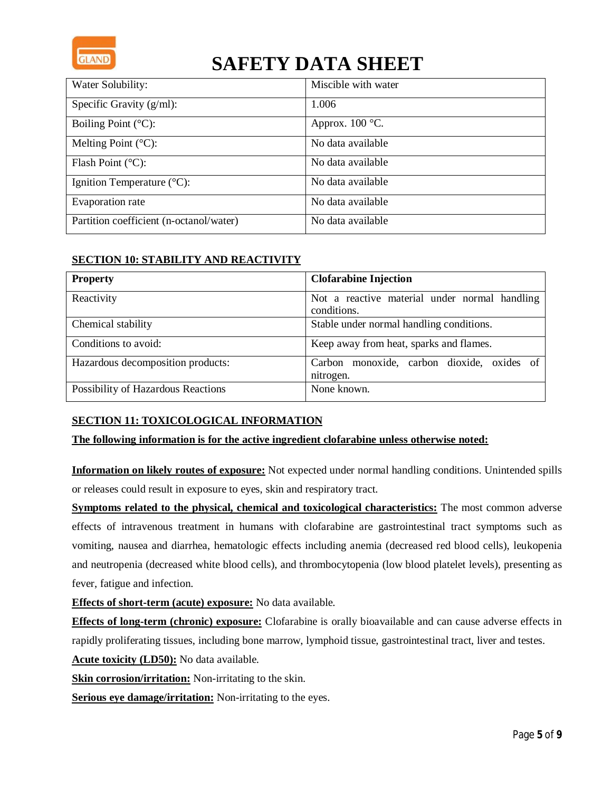

| Water Solubility:                       | Miscible with water      |
|-----------------------------------------|--------------------------|
| Specific Gravity $(g/ml)$ :             | 1.006                    |
| Boiling Point $(^{\circ}C)$ :           | Approx. $100^{\circ}$ C. |
| Melting Point $({}^{\circ}C)$ :         | No data available        |
| Flash Point $(^{\circ}C)$ :             | No data available        |
| Ignition Temperature $(^{\circ}C)$ :    | No data available        |
| Evaporation rate                        | No data available        |
| Partition coefficient (n-octanol/water) | No data available        |

### **SECTION 10: STABILITY AND REACTIVITY**

| <b>Property</b>                    | <b>Clofarabine Injection</b>                                 |
|------------------------------------|--------------------------------------------------------------|
| Reactivity                         | Not a reactive material under normal handling<br>conditions. |
| Chemical stability                 | Stable under normal handling conditions.                     |
| Conditions to avoid:               | Keep away from heat, sparks and flames.                      |
| Hazardous decomposition products:  | Carbon monoxide, carbon dioxide, oxides of<br>nitrogen.      |
| Possibility of Hazardous Reactions | None known.                                                  |

### **SECTION 11: TOXICOLOGICAL INFORMATION**

#### **The following information is for the active ingredient clofarabine unless otherwise noted:**

**Information on likely routes of exposure:** Not expected under normal handling conditions. Unintended spills or releases could result in exposure to eyes, skin and respiratory tract.

**Symptoms related to the physical, chemical and toxicological characteristics:** The most common adverse effects of intravenous treatment in humans with clofarabine are gastrointestinal tract symptoms such as vomiting, nausea and diarrhea, hematologic effects including anemia (decreased red blood cells), leukopenia and neutropenia (decreased white blood cells), and thrombocytopenia (low blood platelet levels), presenting as fever, fatigue and infection.

**Effects of short-term (acute) exposure:** No data available.

**Effects of long-term (chronic) exposure:** Clofarabine is orally bioavailable and can cause adverse effects in rapidly proliferating tissues, including bone marrow, lymphoid tissue, gastrointestinal tract, liver and testes.

**Acute toxicity (LD50):** No data available.

**Skin corrosion/irritation:** Non-irritating to the skin.

**Serious eye damage/irritation:** Non-irritating to the eyes.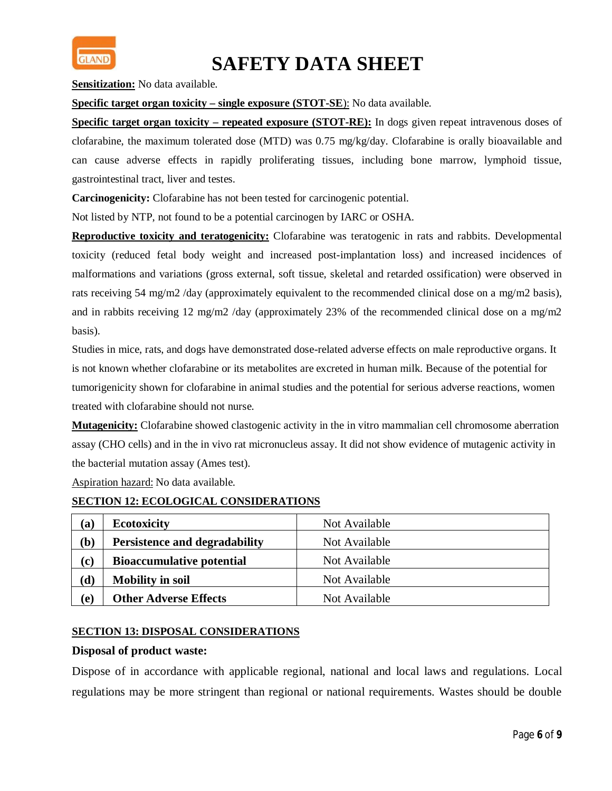

**Sensitization:** No data available.

**Specific target organ toxicity – single exposure (STOT-SE**): No data available.

**Specific target organ toxicity – repeated exposure (STOT-RE):** In dogs given repeat intravenous doses of clofarabine, the maximum tolerated dose (MTD) was 0.75 mg/kg/day. Clofarabine is orally bioavailable and can cause adverse effects in rapidly proliferating tissues, including bone marrow, lymphoid tissue, gastrointestinal tract, liver and testes.

**Carcinogenicity:** Clofarabine has not been tested for carcinogenic potential.

Not listed by NTP, not found to be a potential carcinogen by IARC or OSHA.

**Reproductive toxicity and teratogenicity:** Clofarabine was teratogenic in rats and rabbits. Developmental toxicity (reduced fetal body weight and increased post-implantation loss) and increased incidences of malformations and variations (gross external, soft tissue, skeletal and retarded ossification) were observed in rats receiving 54 mg/m2 /day (approximately equivalent to the recommended clinical dose on a mg/m2 basis), and in rabbits receiving 12 mg/m2 /day (approximately 23% of the recommended clinical dose on a mg/m2 basis).

Studies in mice, rats, and dogs have demonstrated dose-related adverse effects on male reproductive organs. It is not known whether clofarabine or its metabolites are excreted in human milk. Because of the potential for tumorigenicity shown for clofarabine in animal studies and the potential for serious adverse reactions, women treated with clofarabine should not nurse.

**Mutagenicity:** Clofarabine showed clastogenic activity in the in vitro mammalian cell chromosome aberration assay (CHO cells) and in the in vivo rat micronucleus assay. It did not show evidence of mutagenic activity in the bacterial mutation assay (Ames test).

Aspiration hazard: No data available.

#### **SECTION 12: ECOLOGICAL CONSIDERATIONS**

| (a)            | <b>Ecotoxicity</b>                   | Not Available |
|----------------|--------------------------------------|---------------|
| $\mathbf{(b)}$ | <b>Persistence and degradability</b> | Not Available |
| (c)            | <b>Bioaccumulative potential</b>     | Not Available |
| $(\mathbf{d})$ | <b>Mobility in soil</b>              | Not Available |
| (e)            | <b>Other Adverse Effects</b>         | Not Available |

#### **SECTION 13: DISPOSAL CONSIDERATIONS**

#### **Disposal of product waste:**

Dispose of in accordance with applicable regional, national and local laws and regulations. Local regulations may be more stringent than regional or national requirements. Wastes should be double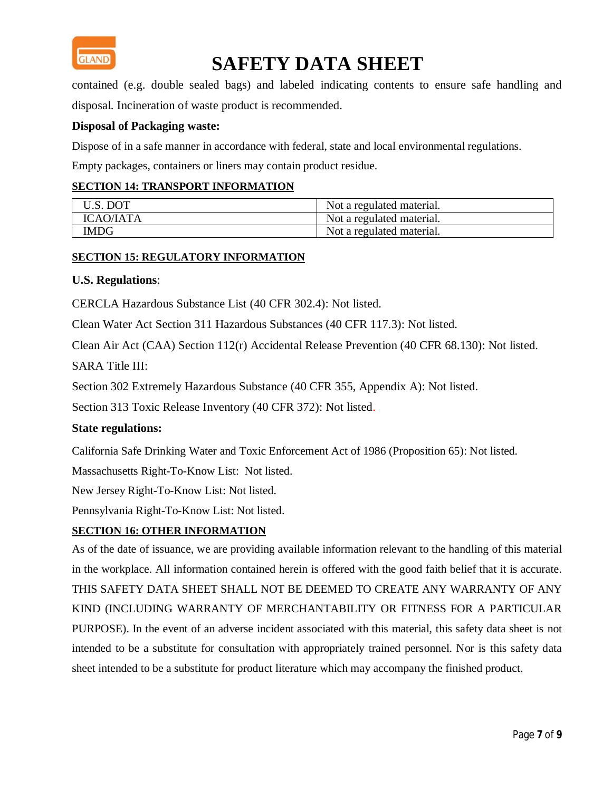

contained (e.g. double sealed bags) and labeled indicating contents to ensure safe handling and disposal. Incineration of waste product is recommended.

### **Disposal of Packaging waste:**

Dispose of in a safe manner in accordance with federal, state and local environmental regulations.

Empty packages, containers or liners may contain product residue.

#### **SECTION 14: TRANSPORT INFORMATION**

| U.S. DOT         | Not a regulated material. |
|------------------|---------------------------|
| <b>ICAO/IATA</b> | Not a regulated material. |
| <b>IMDG</b>      | Not a regulated material. |

#### **SECTION 15: REGULATORY INFORMATION**

#### **U.S. Regulations**:

CERCLA Hazardous Substance List (40 CFR 302.4): Not listed.

Clean Water Act Section 311 Hazardous Substances (40 CFR 117.3): Not listed.

Clean Air Act (CAA) Section 112(r) Accidental Release Prevention (40 CFR 68.130): Not listed.

SARA Title III:

Section 302 Extremely Hazardous Substance (40 CFR 355, Appendix A): Not listed.

Section 313 Toxic Release Inventory (40 CFR 372): Not listed.

### **State regulations:**

California Safe Drinking Water and Toxic Enforcement Act of 1986 (Proposition 65): Not listed.

Massachusetts Right-To-Know List: Not listed.

New Jersey Right-To-Know List: Not listed.

Pennsylvania Right-To-Know List: Not listed.

### **SECTION 16: OTHER INFORMATION**

As of the date of issuance, we are providing available information relevant to the handling of this material in the workplace. All information contained herein is offered with the good faith belief that it is accurate. THIS SAFETY DATA SHEET SHALL NOT BE DEEMED TO CREATE ANY WARRANTY OF ANY KIND (INCLUDING WARRANTY OF MERCHANTABILITY OR FITNESS FOR A PARTICULAR PURPOSE). In the event of an adverse incident associated with this material, this safety data sheet is not intended to be a substitute for consultation with appropriately trained personnel. Nor is this safety data sheet intended to be a substitute for product literature which may accompany the finished product.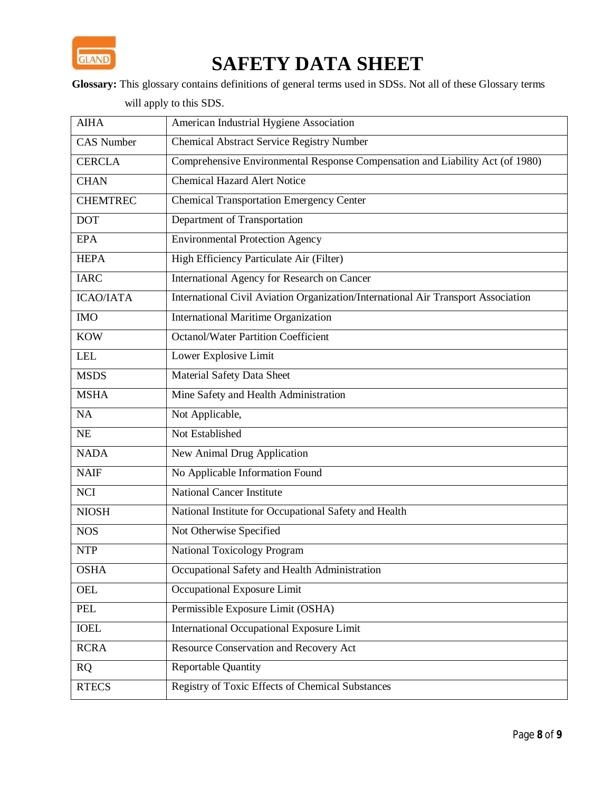

**Glossary:** This glossary contains definitions of general terms used in SDSs. Not all of these Glossary terms

will apply to this SDS.

| <b>AIHA</b>       | American Industrial Hygiene Association                                           |
|-------------------|-----------------------------------------------------------------------------------|
| <b>CAS Number</b> | <b>Chemical Abstract Service Registry Number</b>                                  |
| <b>CERCLA</b>     | Comprehensive Environmental Response Compensation and Liability Act (of 1980)     |
| <b>CHAN</b>       | <b>Chemical Hazard Alert Notice</b>                                               |
| <b>CHEMTREC</b>   | <b>Chemical Transportation Emergency Center</b>                                   |
| <b>DOT</b>        | Department of Transportation                                                      |
| <b>EPA</b>        | <b>Environmental Protection Agency</b>                                            |
| <b>HEPA</b>       | High Efficiency Particulate Air (Filter)                                          |
| <b>IARC</b>       | International Agency for Research on Cancer                                       |
| <b>ICAO/IATA</b>  | International Civil Aviation Organization/International Air Transport Association |
| <b>IMO</b>        | <b>International Maritime Organization</b>                                        |
| <b>KOW</b>        | <b>Octanol/Water Partition Coefficient</b>                                        |
| <b>LEL</b>        | Lower Explosive Limit                                                             |
| <b>MSDS</b>       | <b>Material Safety Data Sheet</b>                                                 |
| <b>MSHA</b>       | Mine Safety and Health Administration                                             |
| NA                | Not Applicable,                                                                   |
| <b>NE</b>         | Not Established                                                                   |
| <b>NADA</b>       | New Animal Drug Application                                                       |
| <b>NAIF</b>       | No Applicable Information Found                                                   |
| <b>NCI</b>        | <b>National Cancer Institute</b>                                                  |
| <b>NIOSH</b>      | National Institute for Occupational Safety and Health                             |
| <b>NOS</b>        | Not Otherwise Specified                                                           |
| <b>NTP</b>        | <b>National Toxicology Program</b>                                                |
| <b>OSHA</b>       | Occupational Safety and Health Administration                                     |
| OEL               | Occupational Exposure Limit                                                       |
| PEL               | Permissible Exposure Limit (OSHA)                                                 |
| <b>IOEL</b>       | <b>International Occupational Exposure Limit</b>                                  |
| <b>RCRA</b>       | Resource Conservation and Recovery Act                                            |
| <b>RQ</b>         | <b>Reportable Quantity</b>                                                        |
| <b>RTECS</b>      | Registry of Toxic Effects of Chemical Substances                                  |